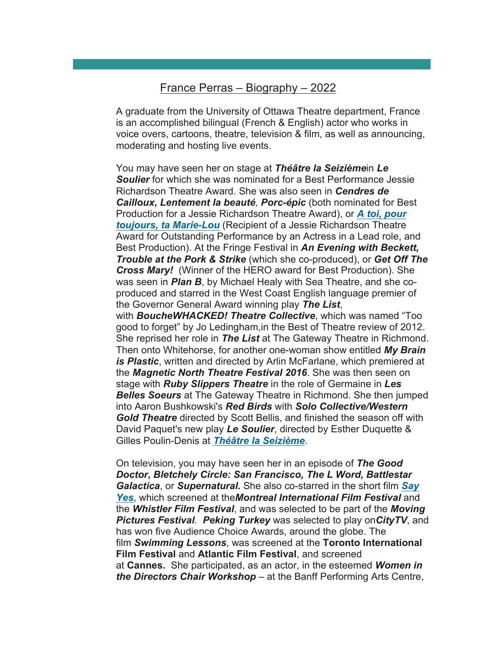## France Perras – Biography – 2022

A graduate from the University of Ottawa Theatre department, France is an accomplished bilingual (French & English) actor who works in voice overs, cartoons, theatre, television & film, as well as announcing, moderating and hosting live events.

You may have seen her on stage at *Théâtre la Seizième*in *Le Soulier* for which she was nominated for a Best Performance Jessie Richardson Theatre Award. She was also seen in *Cendres de Cailloux***,** *Lentement la beauté, Porc-épic* (both nominated for Best Production for a Jessie Richardson Theatre Award), or *A toi, pour toujours, ta Marie-Lou* (Recipient of a Jessie Richardson Theatre Award for Outstanding Performance by an Actress in a Lead role, and Best Production). At the Fringe Festival in *An Evening with Beckett, Trouble at the Pork & Strike* (which she co-produced), or *Get Off The Cross Mary!* (Winner of the HERO award for Best Production). She was seen in *Plan B*, by Michael Healy with Sea Theatre, and she coproduced and starred in the West Coast English language premier of the Governor General Award winning play *The List*, with *BoucheWHACKED! Theatre Collective*, which was named "Too good to forget" by Jo Ledingham,in the Best of Theatre review of 2012. She reprised her role in *The List* at The Gateway Theatre in Richmond. Then onto Whitehorse, for another one-woman show entitled *My Brain is Plastic*, written and directed by Arlin McFarlane, which premiered at

the *Magnetic North Theatre Festival 2016*. She was then seen on stage with *Ruby Slippers Theatre* in the role of Germaine in *Les Belles Soeurs* at The Gateway Theatre in Richmond. She then jumped into Aaron Bushkowski's *Red Birds* with *Solo Collective/Western Gold Theatre* directed by Scott Bellis, and finished the season off with David Paquet's new play *Le Soulier*, directed by Esther Duquette & Gilles Poulin-Denis at *Théâtre la Seizième*.

On television, you may have seen her in an episode of *The Good Doctor***,** *Bletchely Circle: San Francisco, The L Word, Battlestar Galactica*, or *Supernatural.* She also co-starred in the short film *Say Yes*, which screened at the*Montreal International Film Festival* and the *Whistler Film Festival*, and was selected to be part of the *Moving Pictures Festival*. *Peking Turkey* was selected to play on*CityTV*, and has won five Audience Choice Awards, around the globe. The film *Swimming Lessons*, was screened at the **Toronto International Film Festival** and **Atlantic Film Festival**, and screened at **Cannes.** She participated, as an actor, in the esteemed *Women in the Directors Chair Workshop* – at the Banff Performing Arts Centre,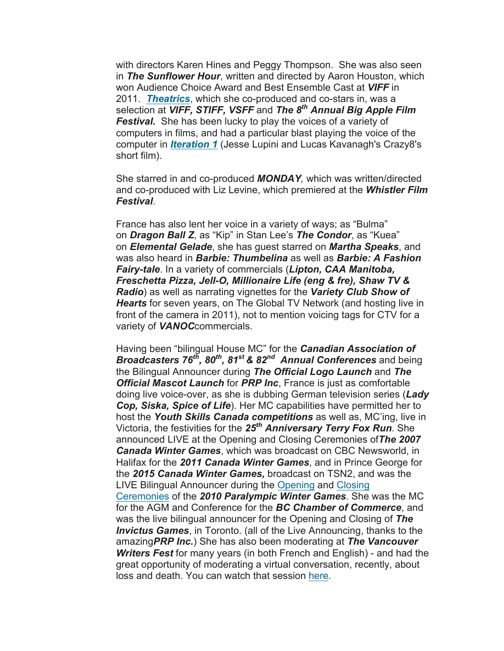with directors Karen Hines and Peggy Thompson. She was also seen in *The Sunflower Hour*, written and directed by Aaron Houston, which won Audience Choice Award and Best Ensemble Cast at *VIFF* in 2011. *Theatrics*, which she co-produced and co-stars in, was a selection at *VIFF, STIFF, VSFF* and *The 8th Annual Big Apple Film*  **Festival.** She has been lucky to play the voices of a variety of computers in films, and had a particular blast playing the voice of the computer in *Iteration 1* (Jesse Lupini and Lucas Kavanagh's Crazy8's short film).

She starred in and co-produced *MONDAY,* which was written/directed and co-produced with Liz Levine, which premiered at the *Whistler Film Festival*.

France has also lent her voice in a variety of ways; as "Bulma" on *Dragon Ball Z*, as "Kip" in Stan Lee's *The Condor*, as "Kuea" on *Elemental Gelade*, she has guest starred on *Martha Speaks*, and was also heard in *Barbie: Thumbelina* as well as *Barbie: A Fashion Fairy-tale*. In a variety of commercials (*Lipton, CAA Manitoba, Freschetta Pizza, Jell-O, Millionaire Life (eng & fre), Shaw TV & Radio*) as well as narrating vignettes for the *Variety Club Show of Hearts* for seven years, on The Global TV Network (and hosting live in front of the camera in 2011), not to mention voicing tags for CTV for a variety of *VANOC*commercials.

Having been "bilingual House MC" for the *Canadian Association of Broadcasters 76th, 80th, 81st & 82nd Annual Conferences* and being the Bilingual Announcer during *The Official Logo Launch* and *The Official Mascot Launch* for *PRP Inc*, France is just as comfortable doing live voice-over, as she is dubbing German television series (*Lady Cop, Siska, Spice of Life*). Her MC capabilities have permitted her to host the *Youth Skills Canada competitions* as well as, MC'ing, live in Victoria, the festivities for the *25th Anniversary Terry Fox Run*. She announced LIVE at the Opening and Closing Ceremonies of*The 2007 Canada Winter Games*, which was broadcast on CBC Newsworld, in Halifax for the *2011 Canada Winter Games*, and in Prince George for the *2015 Canada Winter Games,* broadcast on TSN2, and was the LIVE Bilingual Announcer during the Opening and Closing Ceremonies of the *2010 Paralympic Winter Games*. She was the MC for the AGM and Conference for the *BC Chamber of Commerce*, and was the live bilingual announcer for the Opening and Closing of *The Invictus Games*, in Toronto. (all of the Live Announcing, thanks to the amazing*PRP Inc.*) She has also been moderating at *The Vancouver Writers Fest* for many years (in both French and English) - and had the great opportunity of moderating a virtual conversation, recently, about loss and death. You can watch that session here.